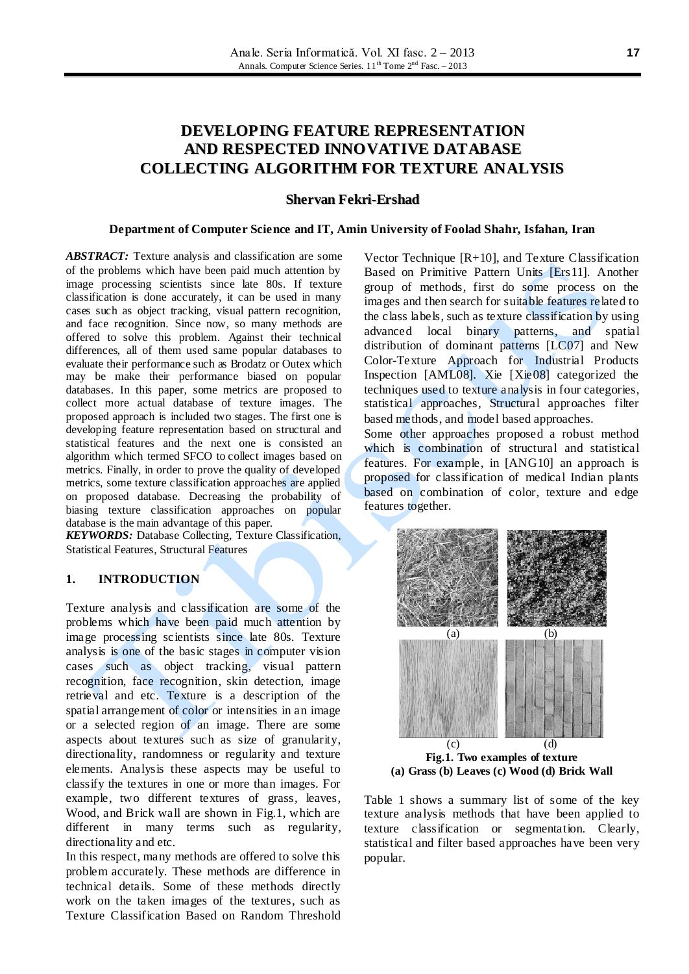# **DEVELOPING FEATURE REPRESENTATION AND RESPECTED INNOVATIVE DATABASE COLLECTING ALGORITHM FOR TEXTURE ANALYSIS**

#### **Shervan Fekri-Ershad**

#### **Department of Computer Science and IT, Amin University of Foolad Shahr, Isfahan, Iran**

*ABSTRACT:* Texture analysis and classification are some of the problems which have been paid much attention by image processing scientists since late 80s. If texture classification is done accurately, it can be used in many cases such as object tracking, visual pattern recognition, and face recognition. Since now, so many methods are offered to solve this problem. Against their technical differences, all of them used same popular databases to evaluate their performance such as Brodatz or Outex which may be make their performance biased on popular databases. In this paper, some metrics are proposed to collect more actual database of texture images. The proposed approach is included two stages. The first one is developing feature representation based on structural and statistical features and the next one is consisted an algorithm which termed SFCO to collect images based on metrics. Finally, in order to prove the quality of developed metrics, some texture classification approaches are applied on proposed database. Decreasing the probability of biasing texture classification approaches on popular database is the main advantage of this paper.

*KEYWORDS:* Database Collecting, Texture Classification, Statistical Features, Structural Features

### **1. INTRODUCTION**

Texture analysis and classification are some of the problems which have been paid much attention by image processing scientists since late 80s. Texture analysis is one of the basic stages in computer vision cases such as object tracking, visual pattern recognition, face recognition, skin detection, image retrieval and etc. Texture is a description of the spatial arrangement of color or intensities in an image or a selected region of an image. There are some aspects about textures such as size of granularity, directionality, randomness or regularity and texture elements. Analysis these aspects may be useful to classify the textures in one or more than images. For example, two different textures of grass, leaves, Wood, and Brick wall are shown in Fig.1, which are different in many terms such as regularity, directionality and etc.

In this respect, many methods are offered to solve this problem accurately. These methods are difference in technical details. Some of these methods directly work on the taken images of the textures, such as Texture Classification Based on Random Threshold

Vector Technique [R+10], and Texture Classification Based on Primitive Pattern Units [Ers11]. Another group of methods, first do some process on the images and then search for suitable features related to the class labels, such as texture classification by using advanced local binary patterns, and spatial distribution of dominant patterns [LC07] and New Color-Texture Approach for Industrial Products Inspection [AML08]. Xie [Xie08] categorized the techniques used to texture analysis in four categories, statistical approaches, Structural approaches filter based methods, and model based approaches.

Some other approaches proposed a robust method which is combination of structural and statistical features. For example, in [ANG10] an approach is proposed for classification of medical Indian plants based on combination of color, texture and edge features together.



Table 1 shows a summary list of some of the key texture analysis methods that have been applied to texture classification or segmentation. Clearly, statistical and filter based approaches have been very popular.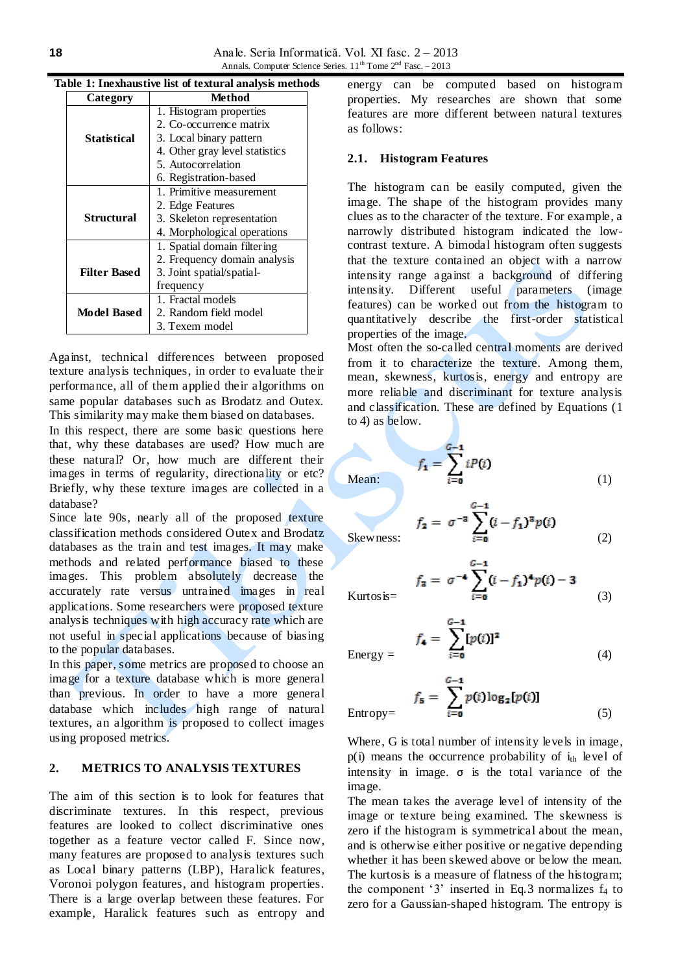| Category            | Method                         |  |  |
|---------------------|--------------------------------|--|--|
|                     | 1. Histogram properties        |  |  |
|                     | 2. Co-occurrence matrix        |  |  |
| Statistical         | 3. Local binary pattern        |  |  |
|                     | 4. Other gray level statistics |  |  |
|                     | 5. Autocorrelation             |  |  |
|                     | 6. Registration-based          |  |  |
|                     | 1. Primitive measurement       |  |  |
|                     | 2. Edge Features               |  |  |
| Structural          | 3. Skeleton representation     |  |  |
|                     | 4. Morphological operations    |  |  |
|                     | 1. Spatial domain filtering    |  |  |
|                     | 2. Frequency domain analysis   |  |  |
| <b>Filter Based</b> | 3. Joint spatial/spatial-      |  |  |
|                     | frequency                      |  |  |
|                     | 1. Fractal models              |  |  |
| <b>Model Based</b>  | 2. Random field model          |  |  |
|                     | 3. Texem model                 |  |  |

#### **Table 1: Inexhaustive list of textural analysis methods**

Against, technical differences between proposed texture analysis techniques, in order to evaluate their performance, all of them applied their algorithms on same popular databases such as Brodatz and Outex. This similarity may make them biased on databases.

In this respect, there are some basic questions here that, why these databases are used? How much are these natural? Or, how much are different their images in terms of regularity, directionality or etc? Briefly, why these texture images are collected in a database?

Since late 90s, nearly all of the proposed texture classification methods considered Outex and Brodatz databases as the train and test images. It may make methods and related performance biased to these images. This problem absolutely decrease the accurately rate versus untrained images in real applications. Some researchers were proposed texture analysis techniques with high accuracy rate which are not useful in special applications because of biasing to the popular databases.

In this paper, some metrics are proposed to choose an image for a texture database which is more general than previous. In order to have a more general database which includes high range of natural textures, an algorithm is proposed to collect images using proposed metrics.

# **2. METRICS TO ANALYSIS TEXTURES**

The aim of this section is to look for features that discriminate textures. In this respect, previous features are looked to collect discriminative ones together as a feature vector called F. Since now, many features are proposed to analysis textures such as Local binary patterns (LBP), Haralick features, Voronoi polygon features, and histogram properties. There is a large overlap between these features. For example, Haralick features such as entropy and energy can be computed based on histogram properties. My researches are shown that some features are more different between natural textures as follows:

#### **2.1. Histogram Features**

The histogram can be easily computed, given the image. The shape of the histogram provides many clues as to the character of the texture. For example, a narrowly distributed histogram indicated the lowcontrast texture. A bimodal histogram often suggests that the texture contained an object with a narrow intensity range against a background of differing intensity. Different useful parameters (image features) can be worked out from the histogram to quantitatively describe the first-order statistical properties of the image.

Most often the so-called central moments are derived from it to characterize the texture. Among them, mean, skewness, kurtosis, energy and entropy are more reliable and discriminant for texture analysis and classification. These are defined by Equations (1 to 4) as below.

Mean:  $f_1 = \sum_{i=0}^{G-1} iP(i)$  (1)

Skewness: 
$$
f_2 = \sigma^{-2} \sum_{i=0}^{G-1} (i - f_1)^2 p(i)
$$
 (2)

Kurtosis=  $f_a = \sigma^{-4} \sum_{i=0}^{G-1} (i - f_1)^4 p(i) - 3$  (3)

$$
f_{4} = \sum_{i=0}^{G-1} [p(i)]^{2}
$$
 (4)

$$
f_{\mathbf{5}} = \sum_{i=\mathbf{0}}^{G-\mathbf{1}} p(i) \log_{2}[p(i)]
$$
\n
$$
\text{Entropy} = \qquad (5)
$$

Where, G is total number of intensity levels in image,  $p(i)$  means the occurrence probability of  $i_{th}$  level of intensity in image.  $\sigma$  is the total variance of the image.

The mean takes the average level of intensity of the image or texture being examined. The skewness is zero if the histogram is symmetrical about the mean, and is otherwise either positive or negative depending whether it has been skewed above or below the mean. The kurtosis is a measure of flatness of the histogram; the component '3' inserted in Eq.3 normalizes  $f_4$  to zero for a Gaussian-shaped histogram. The entropy is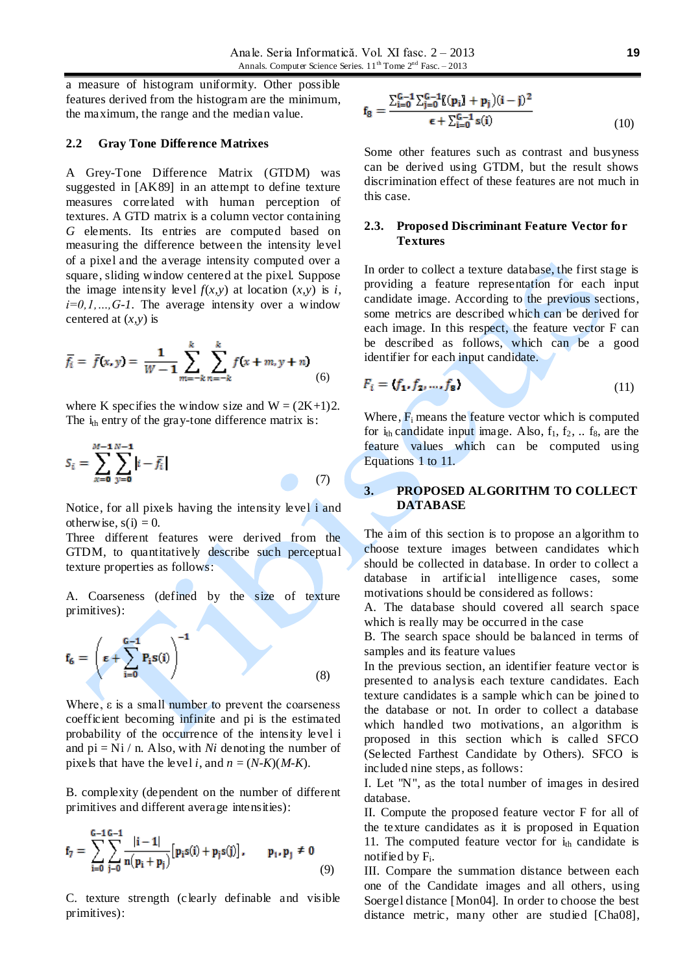a measure of histogram uniformity. Other possible features derived from the histogram are the minimum, the maximum, the range and the median value.

#### **2.2 Gray Tone Difference Matrixes**

A Grey-Tone Difference Matrix (GTDM) was suggested in [AK89] in an attempt to define texture measures correlated with human perception of textures. A GTD matrix is a column vector containing *G* elements. Its entries are computed based on measuring the difference between the intensity level of a pixel and the average intensity computed over a square, sliding window centered at the pixel. Suppose the image intensity level  $f(x, y)$  at location  $(x, y)$  is *i*,  $i=0,1,...,G-1$ . The average intensity over a window centered at (*x,y*) is

$$
\overline{f}_i = \overline{f}(x, y) = \frac{1}{W - 1} \sum_{m = -k}^{k} \sum_{n = -k}^{k} f(x + m, y + n)
$$
(6)

where K specifies the window size and  $W = (2K+1)2$ . The  $i_{th}$  entry of the gray-tone difference matrix is:

$$
S_i = \sum_{x=0}^{M-1} \sum_{y=0}^{N-1} |i - \overline{f}_i|
$$
 (7)

Notice, for all pixels having the intensity level i and otherwise,  $s(i) = 0$ .

Three different features were derived from the GTDM, to quantitatively describe such perceptual texture properties as follows:

A. Coarseness (defined by the size of texture primitives):

$$
\mathbf{f}_6 = \left(\boldsymbol{\epsilon} + \sum_{i=0}^{G-1} P_i \mathbf{s}(i)\right)^{-1} \tag{8}
$$

Where, ε is a small number to prevent the coarseness coefficient becoming infinite and pi is the estimated probability of the occurrence of the intensity level i and  $pi = Ni / n$ . Also, with *Ni* denoting the number of pixels that have the level *i*, and  $n = (N-K)(M-K)$ .

B. complexity (dependent on the number of different primitives and different average intensities):

$$
f_7 = \sum_{i=0}^{G-1} \sum_{j=0}^{G-1} \frac{|i-1|}{n(p_i+p_j)} [p_i s(i) + p_j s(j)], \qquad p_1, p_1 \neq 0
$$
\n(9)

C. texture strength (clearly definable and visible primitives):

$$
\mathbf{f}_8 = \frac{\sum_{i=0}^{G-1} \sum_{j=0}^{G-1} [(\mathbf{p}_i] + \mathbf{p}_j)(i-j)^2}{\epsilon + \sum_{i=0}^{G-1} s(i)} \tag{10}
$$

Some other features such as contrast and busyness can be derived using GTDM, but the result shows discrimination effect of these features are not much in this case.

### **2.3. Proposed Discriminant Feature Vector for Textures**

In order to collect a texture database, the first stage is providing a feature representation for each input candidate image. According to the previous sections, some metrics are described which can be derived for each image. In this respect, the feature vector F can be described as follows, which can be a good identifier for each input candidate.

$$
F_i = \{f_1, f_2, \dots, f_8\} \tag{11}
$$

Where,  $F_i$  means the feature vector which is computed for  $i_{th}$  candidate input image. Also,  $f_1, f_2, \ldots f_8$ , are the feature values which can be computed using Equations 1 to 11.

### **3. PROPOSED ALGORITHM TO COLLECT DATABASE**

The aim of this section is to propose an algorithm to choose texture images between candidates which should be collected in database. In order to collect a database in artificial intelligence cases, some motivations should be considered as follows:

A. The database should covered all search space which is really may be occurred in the case

B. The search space should be balanced in terms of samples and its feature values

In the previous section, an identifier feature vector is presented to analysis each texture candidates. Each texture candidates is a sample which can be joined to the database or not. In order to collect a database which handled two motivations, an algorithm is proposed in this section which is called SFCO (Selected Farthest Candidate by Others). SFCO is included nine steps, as follows:

I. Let "N", as the total number of images in desired database.

II. Compute the proposed feature vector F for all of the texture candidates as it is proposed in Equation 11. The computed feature vector for  $i_{th}$  candidate is notified by F<sup>i</sup> .

III. Compare the summation distance between each one of the Candidate images and all others, using Soergel distance [Mon04]. In order to choose the best distance metric, many other are studied [Cha08],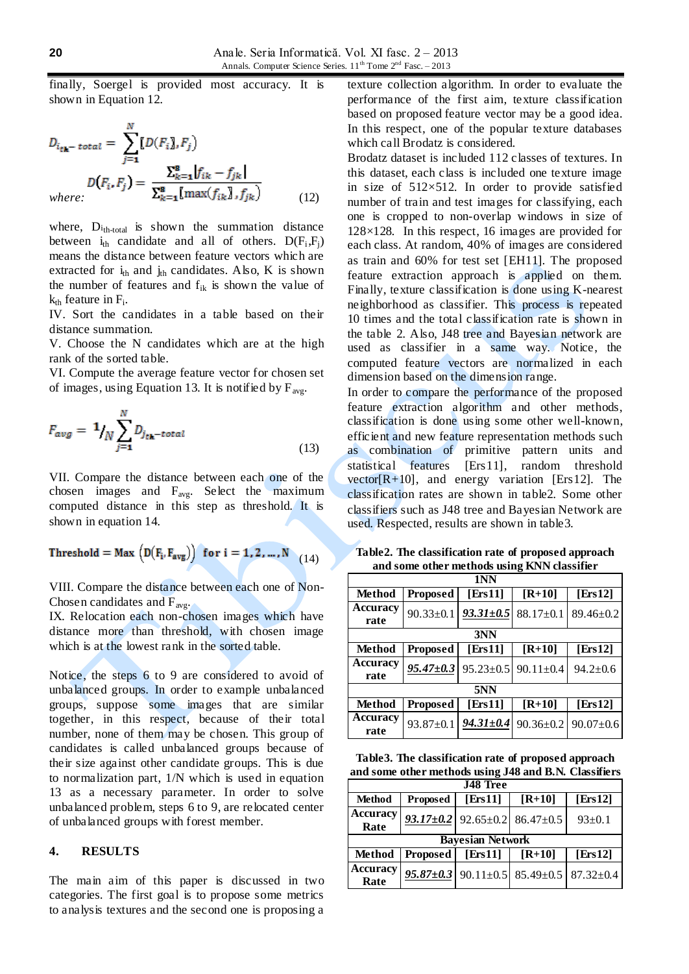finally, Soergel is provided most accuracy. It is shown in Equation 12.

$$
D_{i_{\text{th}} - \text{total}} = \sum_{j=1}^{N} [D(F_i)], F_j
$$
  

$$
D(F_i, F_j) = \frac{\sum_{k=1}^{8} |f_{ik} - f_{jk}|}{\sum_{k=1}^{8} [max(f_{ik}), f_{jk})}
$$
 (12)

where,  $D_{\text{th-total}}$  is shown the summation distance between  $i_{th}$  candidate and all of others.  $D(F_i, F_j)$ means the distance between feature vectors which are extracted for  $i_{th}$  and  $j_{th}$  candidates. Also, K is shown the number of features and  $f_{ik}$  is shown the value of  $k_{th}$  feature in  $F_i$ .

IV. Sort the candidates in a table based on their distance summation.

V. Choose the N candidates which are at the high rank of the sorted table.

VI. Compute the average feature vector for chosen set of images, using Equation 13. It is notified by  $F_{\text{ave}}$ .

$$
F_{avg} = \frac{1}{N} \sum_{j=1}^{N} D_{j_{th}-total}
$$
\n(13)

VII. Compare the distance between each one of the chosen images and  $F_{\text{avg}}$ . Select the maximum computed distance in this step as threshold. It is shown in equation 14.

$$
Threshold = Max (D(F_i, F_{avg})) for i = 1, 2, ..., N
$$
 (14)

VIII. Compare the distance between each one of Non-Chosen candidates and  $F_{\text{avg}}$ .

IX. Relocation each non-chosen images which have distance more than threshold, with chosen image which is at the lowest rank in the sorted table.

Notice, the steps 6 to 9 are considered to avoid of unbalanced groups. In order to example unbalanced groups, suppose some images that are similar together, in this respect, because of their total number, none of them may be chosen. This group of candidates is called unbalanced groups because of their size against other candidate groups. This is due to normalization part, 1/N which is used in equation 13 as a necessary parameter. In order to solve unbalanced problem, steps 6 to 9, are relocated center of unbalanced groups with forest member.

#### **4. RESULTS**

The main aim of this paper is discussed in two categories. The first goal is to propose some metrics to analysis textures and the second one is proposing a

texture collection algorithm. In order to evaluate the performance of the first aim, texture classification based on proposed feature vector may be a good idea. In this respect, one of the popular texture databases which call Brodatz is considered.

Brodatz dataset is included 112 classes of textures. In this dataset, each class is included one texture image in size of  $512\times512$ . In order to provide satisfied number of train and test images for classifying, each one is cropped to non-overlap windows in size of 128×128. In this respect, 16 images are provided for each class. At random, 40% of images are considered as train and 60% for test set [EH11]. The proposed feature extraction approach is applied on them. Finally, texture classification is done using K-nearest neighborhood as classifier. This process is repeated 10 times and the total classification rate is shown in the table 2. Also, J48 tree and Bayesian network are used as classifier in a same way. Notice, the computed feature vectors are normalized in each dimension based on the dimension range.

In order to compare the performance of the proposed feature extraction algorithm and other methods, classification is done using some other well-known, efficient and new feature representation methods such as combination of primitive pattern units and statistical features [Ers11], random threshold vector $[R+10]$ , and energy variation [Ers12]. The classification rates are shown in table2. Some other classifiers such as J48 tree and Bayesian Network are used. Respected, results are shown in table3.

| 1NN                     |                 |                 |                 |                 |  |
|-------------------------|-----------------|-----------------|-----------------|-----------------|--|
| Method                  | <b>Proposed</b> | [Ers $11$ ]     | $[R+10]$        | [Ers12]         |  |
| <b>Accuracy</b>         | $90.33 \pm 0.1$ | $93.31 \pm 0.5$ | $88.17 \pm 0.1$ | $89.46 \pm 0.2$ |  |
| rate                    |                 |                 |                 |                 |  |
| 3NN                     |                 |                 |                 |                 |  |
| Method                  | Proposed        | [Ers $11$ ]     | $[R+10]$        | [Ers $12$ ]     |  |
| <b>Accuracy</b><br>rate | $95.47 \pm 0.3$ | $95.23 \pm 0.5$ | $90.11 \pm 0.4$ | $94.2 \pm 0.6$  |  |
| 5NN                     |                 |                 |                 |                 |  |
| <b>Method</b>           | Proposed        | [Ers $11$ ]     | $[R+10]$        | [Ers12]         |  |
| <b>Accuracy</b><br>rate | $93.87 \pm 0.1$ | $94.31 \pm 0.4$ | $90.36 \pm 0.2$ | $90.07 \pm 0.6$ |  |

**Table2. The classification rate of proposed approach and some other methods using KNN classifier**

**Table3. The classification rate of proposed approach and some other methods using J48 and B.N. Classifiers**

| <b>J48 Tree</b>         |                 |         |                                                                       |              |  |  |
|-------------------------|-----------------|---------|-----------------------------------------------------------------------|--------------|--|--|
| Method                  | <b>Proposed</b> | [Ers11] | $[R+10]$                                                              | [ $Ers12$ ]  |  |  |
| <b>Accuracy</b><br>Rate |                 |         | $93.17 \pm 0.2$ 92.65 $\pm$ 0.2 86.47 $\pm$ 0.5                       | $93 \pm 0.1$ |  |  |
| <b>Bayesian Network</b> |                 |         |                                                                       |              |  |  |
| <b>Method</b>           | <b>Proposed</b> | [Ers11] | $[R+10]$                                                              | [Ers $12$ ]  |  |  |
| <b>Accuracy</b><br>Rate |                 |         | $95.87 \pm 0.3$   90.11 $\pm$ 0.5   85.49 $\pm$ 0.5   87.32 $\pm$ 0.4 |              |  |  |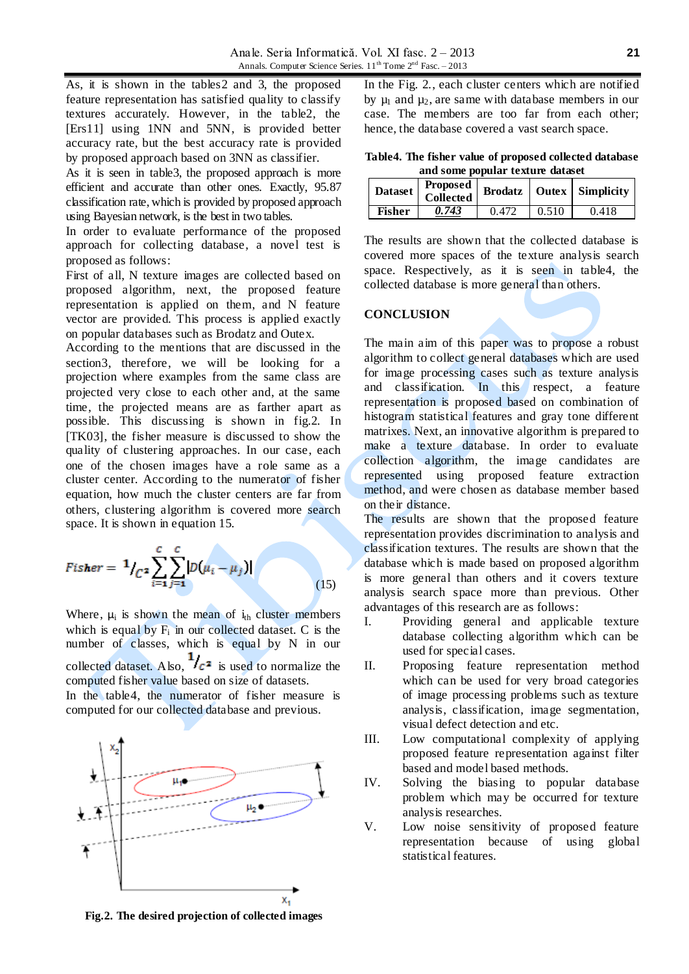As, it is shown in the tables2 and 3, the proposed feature representation has satisfied quality to classify textures accurately. However, in the table2, the [Ers11] using 1NN and 5NN, is provided better accuracy rate, but the best accuracy rate is provided by proposed approach based on 3NN as classifier.

As it is seen in table3, the proposed approach is more efficient and accurate than other ones. Exactly, 95.87 classification rate, which is provided by proposed approach using Bayesian network, is the best in two tables.

In order to evaluate performance of the proposed approach for collecting database, a novel test is proposed as follows:

First of all, N texture images are collected based on proposed algorithm, next, the proposed feature representation is applied on them, and N feature vector are provided. This process is applied exactly on popular databases such as Brodatz and Outex.

According to the mentions that are discussed in the section3, therefore, we will be looking for a projection where examples from the same class are projected very close to each other and, at the same time, the projected means are as farther apart as possible. This discussing is shown in fig.2. In [TK03], the fisher measure is discussed to show the quality of clustering approaches. In our case, each one of the chosen images have a role same as a cluster center. According to the numerator of fisher equation, how much the cluster centers are far from others, clustering algorithm is covered more search space. It is shown in equation 15.

$$
Fisher = \frac{1}{\int_{C} 2} \sum_{i=1}^{C} \sum_{j=1}^{C} |D(\mu_i - \mu_j)|
$$
 (15)

Where,  $\mu_i$  is shown the mean of  $i_{th}$  cluster members which is equal by  $F_i$  in our collected dataset. C is the number of classes, which is equal by N in our collected dataset. Also,  $\frac{1}{c^2}$  is used to normalize the computed fisher value based on size of datasets. In the table4, the numerator of fisher measure is

computed for our collected database and previous.



**Fig.2. The desired projection of collected images**

In the Fig. 2., each cluster centers which are notified by  $\mu_1$  and  $\mu_2$ , are same with database members in our case. The members are too far from each other; hence, the database covered a vast search space.

**Table4. The fisher value of proposed collected database and some popular texture dataset**

| <b>Dataset</b> | <b>Proposed</b><br>Collected |       |       | <b>Brodatz</b>   Outex   Simplicity |
|----------------|------------------------------|-------|-------|-------------------------------------|
| <b>Fisher</b>  | 0.743                        | 0.472 | 0.510 | 0.418                               |

The results are shown that the collected database is covered more spaces of the texture analysis search space. Respectively, as it is seen in table4, the collected database is more general than others.

## **CONCLUSION**

The main aim of this paper was to propose a robust algorithm to collect general databases which are used for image processing cases such as texture analysis and classification. In this respect, a feature representation is proposed based on combination of histogram statistical features and gray tone different matrixes. Next, an innovative algorithm is prepared to make a texture database. In order to evaluate collection algorithm, the image candidates are represented using proposed feature extraction method, and were chosen as database member based on their distance.

The results are shown that the proposed feature representation provides discrimination to analysis and classification textures. The results are shown that the database which is made based on proposed algorithm is more general than others and it covers texture analysis search space more than previous. Other advantages of this research are as follows:

- I. Providing general and applicable texture database collecting algorithm which can be used for special cases.
- II. Proposing feature representation method which can be used for very broad categories of image processing problems such as texture analysis, classification, image segmentation, visual defect detection and etc.
- III. Low computational complexity of applying proposed feature representation against filter based and model based methods.
- IV. Solving the biasing to popular database problem which may be occurred for texture analysis researches.
- V. Low noise sensitivity of proposed feature representation because of using global statistical features.